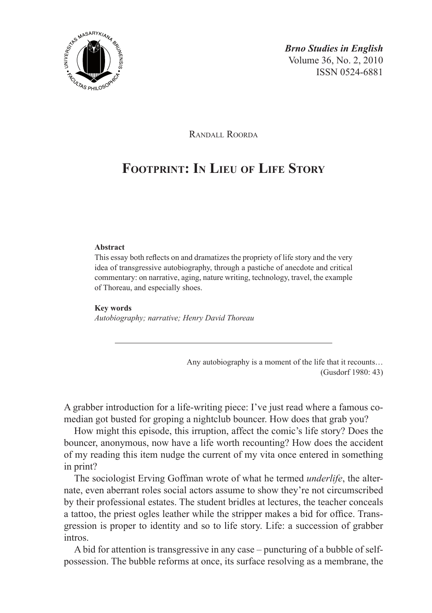

Randall Roorda

# **Footprint: In Lieu of Life Story**

#### **Abstract**

This essay both reflects on and dramatizes the propriety of life story and the very idea of transgressive autobiography, through a pastiche of anecdote and critical commentary: on narrative, aging, nature writing, technology, travel, the example of Thoreau, and especially shoes.

#### **Key words**

*Autobiography; narrative; Henry David Thoreau*

Any autobiography is a moment of the life that it recounts… (Gusdorf 1980: 43)

A grabber introduction for a life-writing piece: I've just read where a famous comedian got busted for groping a nightclub bouncer. How does that grab you?

How might this episode, this irruption, affect the comic's life story? Does the bouncer, anonymous, now have a life worth recounting? How does the accident of my reading this item nudge the current of my vita once entered in something in print?

The sociologist Erving Goffman wrote of what he termed *underlife*, the alternate, even aberrant roles social actors assume to show they're not circumscribed by their professional estates. The student bridles at lectures, the teacher conceals a tattoo, the priest ogles leather while the stripper makes a bid for office. Transgression is proper to identity and so to life story. Life: a succession of grabber intros.

A bid for attention is transgressive in any case – puncturing of a bubble of selfpossession. The bubble reforms at once, its surface resolving as a membrane, the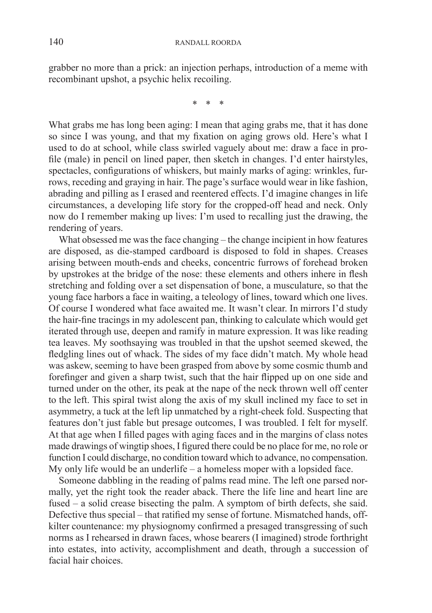grabber no more than a prick: an injection perhaps, introduction of a meme with recombinant upshot, a psychic helix recoiling.

\* \* \*

What grabs me has long been aging: I mean that aging grabs me, that it has done so since I was young, and that my fixation on aging grows old. Here's what I used to do at school, while class swirled vaguely about me: draw a face in profile (male) in pencil on lined paper, then sketch in changes. I'd enter hairstyles, spectacles, configurations of whiskers, but mainly marks of aging: wrinkles, furrows, receding and graying in hair. The page's surface would wear in like fashion, abrading and pilling as I erased and reentered effects. I'd imagine changes in life circumstances, a developing life story for the cropped-off head and neck. Only now do I remember making up lives: I'm used to recalling just the drawing, the rendering of years.

What obsessed me was the face changing – the change incipient in how features are disposed, as die-stamped cardboard is disposed to fold in shapes. Creases arising between mouth-ends and cheeks, concentric furrows of forehead broken by upstrokes at the bridge of the nose: these elements and others inhere in flesh stretching and folding over a set dispensation of bone, a musculature, so that the young face harbors a face in waiting, a teleology of lines, toward which one lives. Of course I wondered what face awaited me. It wasn't clear. In mirrors I'd study the hair-fine tracings in my adolescent pan, thinking to calculate which would get iterated through use, deepen and ramify in mature expression. It was like reading tea leaves. My soothsaying was troubled in that the upshot seemed skewed, the fledgling lines out of whack. The sides of my face didn't match. My whole head was askew, seeming to have been grasped from above by some cosmic thumb and forefinger and given a sharp twist, such that the hair flipped up on one side and turned under on the other, its peak at the nape of the neck thrown well off center to the left. This spiral twist along the axis of my skull inclined my face to set in asymmetry, a tuck at the left lip unmatched by a right-cheek fold. Suspecting that features don't just fable but presage outcomes, I was troubled. I felt for myself. At that age when I filled pages with aging faces and in the margins of class notes made drawings of wingtip shoes, I figured there could be no place for me, no role or function I could discharge, no condition toward which to advance, no compensation. My only life would be an underlife – a homeless moper with a lopsided face.

Someone dabbling in the reading of palms read mine. The left one parsed normally, yet the right took the reader aback. There the life line and heart line are fused – a solid crease bisecting the palm. A symptom of birth defects, she said. Defective thus special – that ratified my sense of fortune. Mismatched hands, offkilter countenance: my physiognomy confirmed a presaged transgressing of such norms as I rehearsed in drawn faces, whose bearers (I imagined) strode forthright into estates, into activity, accomplishment and death, through a succession of facial hair choices.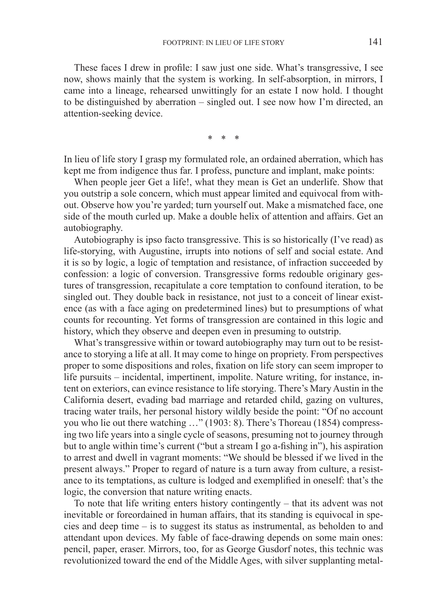These faces I drew in profile: I saw just one side. What's transgressive, I see now, shows mainly that the system is working. In self-absorption, in mirrors, I came into a lineage, rehearsed unwittingly for an estate I now hold. I thought to be distinguished by aberration – singled out. I see now how I'm directed, an attention-seeking device.

\* \* \*

In lieu of life story I grasp my formulated role, an ordained aberration, which has kept me from indigence thus far. I profess, puncture and implant, make points:

When people jeer Get a life!, what they mean is Get an underlife. Show that you outstrip a sole concern, which must appear limited and equivocal from without. Observe how you're yarded; turn yourself out. Make a mismatched face, one side of the mouth curled up. Make a double helix of attention and affairs. Get an autobiography.

Autobiography is ipso facto transgressive. This is so historically (I've read) as life-storying, with Augustine, irrupts into notions of self and social estate. And it is so by logic, a logic of temptation and resistance, of infraction succeeded by confession: a logic of conversion. Transgressive forms redouble originary gestures of transgression, recapitulate a core temptation to confound iteration, to be singled out. They double back in resistance, not just to a conceit of linear existence (as with a face aging on predetermined lines) but to presumptions of what counts for recounting. Yet forms of transgression are contained in this logic and history, which they observe and deepen even in presuming to outstrip.

What's transgressive within or toward autobiography may turn out to be resistance to storying a life at all. It may come to hinge on propriety. From perspectives proper to some dispositions and roles, fixation on life story can seem improper to life pursuits – incidental, impertinent, impolite. Nature writing, for instance, intent on exteriors, can evince resistance to life storying. There's Mary Austin in the California desert, evading bad marriage and retarded child, gazing on vultures, tracing water trails, her personal history wildly beside the point: "Of no account you who lie out there watching …" (1903: 8). There's Thoreau (1854) compressing two life years into a single cycle of seasons, presuming not to journey through but to angle within time's current ("but a stream I go a-fishing in"), his aspiration to arrest and dwell in vagrant moments: "We should be blessed if we lived in the present always." Proper to regard of nature is a turn away from culture, a resistance to its temptations, as culture is lodged and exemplified in oneself: that's the logic, the conversion that nature writing enacts.

To note that life writing enters history contingently – that its advent was not inevitable or foreordained in human affairs, that its standing is equivocal in species and deep time – is to suggest its status as instrumental, as beholden to and attendant upon devices. My fable of face-drawing depends on some main ones: pencil, paper, eraser. Mirrors, too, for as George Gusdorf notes, this technic was revolutionized toward the end of the Middle Ages, with silver supplanting metal-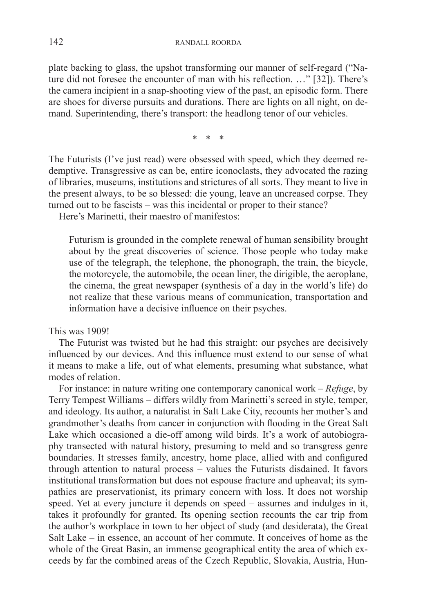plate backing to glass, the upshot transforming our manner of self-regard ("Nature did not foresee the encounter of man with his reflection. …" [32]). There's the camera incipient in a snap-shooting view of the past, an episodic form. There are shoes for diverse pursuits and durations. There are lights on all night, on demand. Superintending, there's transport: the headlong tenor of our vehicles.

\* \* \*

The Futurists (I've just read) were obsessed with speed, which they deemed redemptive. Transgressive as can be, entire iconoclasts, they advocated the razing of libraries, museums, institutions and strictures of all sorts. They meant to live in the present always, to be so blessed: die young, leave an uncreased corpse. They turned out to be fascists – was this incidental or proper to their stance?

Here's Marinetti, their maestro of manifestos:

Futurism is grounded in the complete renewal of human sensibility brought about by the great discoveries of science. Those people who today make use of the telegraph, the telephone, the phonograph, the train, the bicycle, the motorcycle, the automobile, the ocean liner, the dirigible, the aeroplane, the cinema, the great newspaper (synthesis of a day in the world's life) do not realize that these various means of communication, transportation and information have a decisive influence on their psyches.

This was 1909!

The Futurist was twisted but he had this straight: our psyches are decisively influenced by our devices. And this influence must extend to our sense of what it means to make a life, out of what elements, presuming what substance, what modes of relation.

For instance: in nature writing one contemporary canonical work – *Refuge*, by Terry Tempest Williams – differs wildly from Marinetti's screed in style, temper, and ideology. Its author, a naturalist in Salt Lake City, recounts her mother's and grandmother's deaths from cancer in conjunction with flooding in the Great Salt Lake which occasioned a die-off among wild birds. It's a work of autobiography transected with natural history, presuming to meld and so transgress genre boundaries. It stresses family, ancestry, home place, allied with and configured through attention to natural process – values the Futurists disdained. It favors institutional transformation but does not espouse fracture and upheaval; its sympathies are preservationist, its primary concern with loss. It does not worship speed. Yet at every juncture it depends on speed – assumes and indulges in it, takes it profoundly for granted. Its opening section recounts the car trip from the author's workplace in town to her object of study (and desiderata), the Great Salt Lake – in essence, an account of her commute. It conceives of home as the whole of the Great Basin, an immense geographical entity the area of which exceeds by far the combined areas of the Czech Republic, Slovakia, Austria, Hun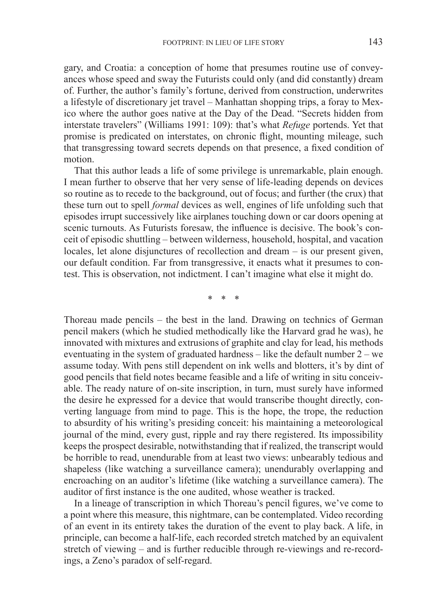gary, and Croatia: a conception of home that presumes routine use of conveyances whose speed and sway the Futurists could only (and did constantly) dream of. Further, the author's family's fortune, derived from construction, underwrites a lifestyle of discretionary jet travel – Manhattan shopping trips, a foray to Mexico where the author goes native at the Day of the Dead. "Secrets hidden from interstate travelers" (Williams 1991: 109): that's what *Refuge* portends. Yet that promise is predicated on interstates, on chronic flight, mounting mileage, such that transgressing toward secrets depends on that presence, a fixed condition of motion.

That this author leads a life of some privilege is unremarkable, plain enough. I mean further to observe that her very sense of life-leading depends on devices so routine as to recede to the background, out of focus; and further (the crux) that these turn out to spell *formal* devices as well, engines of life unfolding such that episodes irrupt successively like airplanes touching down or car doors opening at scenic turnouts. As Futurists foresaw, the influence is decisive. The book's conceit of episodic shuttling – between wilderness, household, hospital, and vacation locales, let alone disjunctures of recollection and dream – is our present given, our default condition. Far from transgressive, it enacts what it presumes to contest. This is observation, not indictment. I can't imagine what else it might do.

\* \* \*

Thoreau made pencils – the best in the land. Drawing on technics of German pencil makers (which he studied methodically like the Harvard grad he was), he innovated with mixtures and extrusions of graphite and clay for lead, his methods eventuating in the system of graduated hardness – like the default number 2 – we assume today. With pens still dependent on ink wells and blotters, it's by dint of good pencils that field notes became feasible and a life of writing in situ conceivable. The ready nature of on-site inscription, in turn, must surely have informed the desire he expressed for a device that would transcribe thought directly, converting language from mind to page. This is the hope, the trope, the reduction to absurdity of his writing's presiding conceit: his maintaining a meteorological journal of the mind, every gust, ripple and ray there registered. Its impossibility keeps the prospect desirable, notwithstanding that if realized, the transcript would be horrible to read, unendurable from at least two views: unbearably tedious and shapeless (like watching a surveillance camera); unendurably overlapping and encroaching on an auditor's lifetime (like watching a surveillance camera). The auditor of first instance is the one audited, whose weather is tracked.

In a lineage of transcription in which Thoreau's pencil figures, we've come to a point where this measure, this nightmare, can be contemplated. Video recording of an event in its entirety takes the duration of the event to play back. A life, in principle, can become a half-life, each recorded stretch matched by an equivalent stretch of viewing – and is further reducible through re-viewings and re-recordings, a Zeno's paradox of self-regard.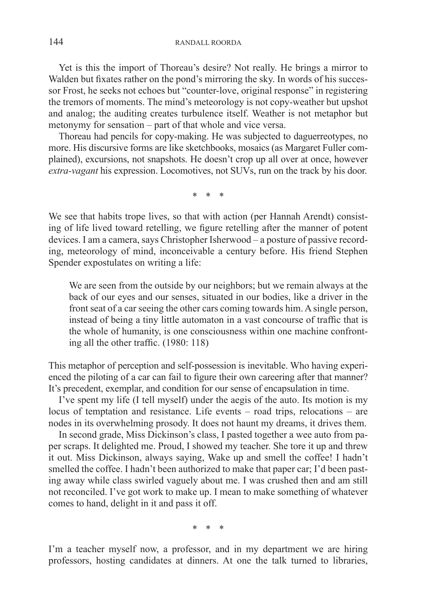Yet is this the import of Thoreau's desire? Not really. He brings a mirror to Walden but fixates rather on the pond's mirroring the sky. In words of his successor Frost, he seeks not echoes but "counter-love, original response" in registering the tremors of moments. The mind's meteorology is not copy-weather but upshot and analog; the auditing creates turbulence itself. Weather is not metaphor but metonymy for sensation – part of that whole and vice versa.

Thoreau had pencils for copy-making. He was subjected to daguerreotypes, no more. His discursive forms are like sketchbooks, mosaics (as Margaret Fuller complained), excursions, not snapshots. He doesn't crop up all over at once, however *extra-vagant* his expression. Locomotives, not SUVs, run on the track by his door.

\* \* \*

We see that habits trope lives, so that with action (per Hannah Arendt) consisting of life lived toward retelling, we figure retelling after the manner of potent devices. I am a camera, says Christopher Isherwood – a posture of passive recording, meteorology of mind, inconceivable a century before. His friend Stephen Spender expostulates on writing a life:

We are seen from the outside by our neighbors; but we remain always at the back of our eyes and our senses, situated in our bodies, like a driver in the front seat of a car seeing the other cars coming towards him. A single person, instead of being a tiny little automaton in a vast concourse of traffic that is the whole of humanity, is one consciousness within one machine confronting all the other traffic. (1980: 118)

This metaphor of perception and self-possession is inevitable. Who having experienced the piloting of a car can fail to figure their own careering after that manner? It's precedent, exemplar, and condition for our sense of encapsulation in time.

I've spent my life (I tell myself) under the aegis of the auto. Its motion is my locus of temptation and resistance. Life events – road trips, relocations – are nodes in its overwhelming prosody. It does not haunt my dreams, it drives them.

In second grade, Miss Dickinson's class, I pasted together a wee auto from paper scraps. It delighted me. Proud, I showed my teacher. She tore it up and threw it out. Miss Dickinson, always saying, Wake up and smell the coffee! I hadn't smelled the coffee. I hadn't been authorized to make that paper car; I'd been pasting away while class swirled vaguely about me. I was crushed then and am still not reconciled. I've got work to make up. I mean to make something of whatever comes to hand, delight in it and pass it off.

\* \* \*

I'm a teacher myself now, a professor, and in my department we are hiring professors, hosting candidates at dinners. At one the talk turned to libraries,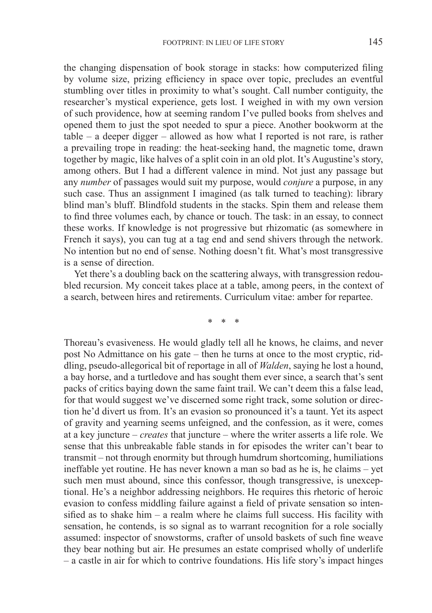the changing dispensation of book storage in stacks: how computerized filing by volume size, prizing efficiency in space over topic, precludes an eventful stumbling over titles in proximity to what's sought. Call number contiguity, the researcher's mystical experience, gets lost. I weighed in with my own version of such providence, how at seeming random I've pulled books from shelves and opened them to just the spot needed to spur a piece. Another bookworm at the table – a deeper digger – allowed as how what I reported is not rare, is rather a prevailing trope in reading: the heat-seeking hand, the magnetic tome, drawn together by magic, like halves of a split coin in an old plot. It's Augustine's story, among others. But I had a different valence in mind. Not just any passage but any *number* of passages would suit my purpose, would *conjure* a purpose, in any such case. Thus an assignment I imagined (as talk turned to teaching): library blind man's bluff. Blindfold students in the stacks. Spin them and release them to find three volumes each, by chance or touch. The task: in an essay, to connect these works. If knowledge is not progressive but rhizomatic (as somewhere in French it says), you can tug at a tag end and send shivers through the network. No intention but no end of sense. Nothing doesn't fit. What's most transgressive is a sense of direction.

Yet there's a doubling back on the scattering always, with transgression redoubled recursion. My conceit takes place at a table, among peers, in the context of a search, between hires and retirements. Curriculum vitae: amber for repartee.

\* \* \*

Thoreau's evasiveness. He would gladly tell all he knows, he claims, and never post No Admittance on his gate – then he turns at once to the most cryptic, riddling, pseudo-allegorical bit of reportage in all of *Walden*, saying he lost a hound, a bay horse, and a turtledove and has sought them ever since, a search that's sent packs of critics baying down the same faint trail. We can't deem this a false lead, for that would suggest we've discerned some right track, some solution or direction he'd divert us from. It's an evasion so pronounced it's a taunt. Yet its aspect of gravity and yearning seems unfeigned, and the confession, as it were, comes at a key juncture – *creates* that juncture – where the writer asserts a life role. We sense that this unbreakable fable stands in for episodes the writer can't bear to transmit – not through enormity but through humdrum shortcoming, humiliations ineffable yet routine. He has never known a man so bad as he is, he claims – yet such men must abound, since this confessor, though transgressive, is unexceptional. He's a neighbor addressing neighbors. He requires this rhetoric of heroic evasion to confess middling failure against a field of private sensation so intensified as to shake him – a realm where he claims full success. His facility with sensation, he contends, is so signal as to warrant recognition for a role socially assumed: inspector of snowstorms, crafter of unsold baskets of such fine weave they bear nothing but air. He presumes an estate comprised wholly of underlife – a castle in air for which to contrive foundations. His life story's impact hinges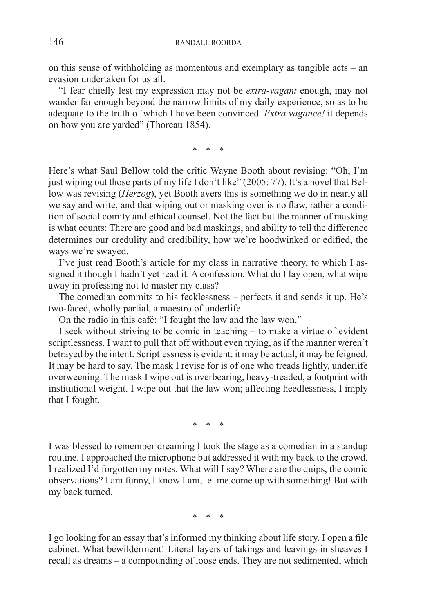on this sense of withholding as momentous and exemplary as tangible acts – an evasion undertaken for us all.

"I fear chiefly lest my expression may not be *extra-vagant* enough, may not wander far enough beyond the narrow limits of my daily experience, so as to be adequate to the truth of which I have been convinced. *Extra vagance!* it depends on how you are yarded" (Thoreau 1854).

\* \* \*

Here's what Saul Bellow told the critic Wayne Booth about revising: "Oh, I'm just wiping out those parts of my life I don't like" (2005: 77). It's a novel that Bellow was revising (*Herzog*), yet Booth avers this is something we do in nearly all we say and write, and that wiping out or masking over is no flaw, rather a condition of social comity and ethical counsel. Not the fact but the manner of masking is what counts: There are good and bad maskings, and ability to tell the difference determines our credulity and credibility, how we're hoodwinked or edified, the ways we're swayed.

I've just read Booth's article for my class in narrative theory, to which I assigned it though I hadn't yet read it. A confession. What do I lay open, what wipe away in professing not to master my class?

The comedian commits to his fecklessness – perfects it and sends it up. He's two-faced, wholly partial, a maestro of underlife.

On the radio in this café: "I fought the law and the law won."

I seek without striving to be comic in teaching – to make a virtue of evident scriptlessness. I want to pull that off without even trying, as if the manner weren't betrayed by the intent. Scriptlessness is evident: it may be actual, it may be feigned. It may be hard to say. The mask I revise for is of one who treads lightly, underlife overweening. The mask I wipe out is overbearing, heavy-treaded, a footprint with institutional weight. I wipe out that the law won; affecting heedlessness, I imply that I fought.

\* \* \*

I was blessed to remember dreaming I took the stage as a comedian in a standup routine. I approached the microphone but addressed it with my back to the crowd. I realized I'd forgotten my notes. What will I say? Where are the quips, the comic observations? I am funny, I know I am, let me come up with something! But with my back turned.

\* \* \*

I go looking for an essay that's informed my thinking about life story. I open a file cabinet. What bewilderment! Literal layers of takings and leavings in sheaves I recall as dreams – a compounding of loose ends. They are not sedimented, which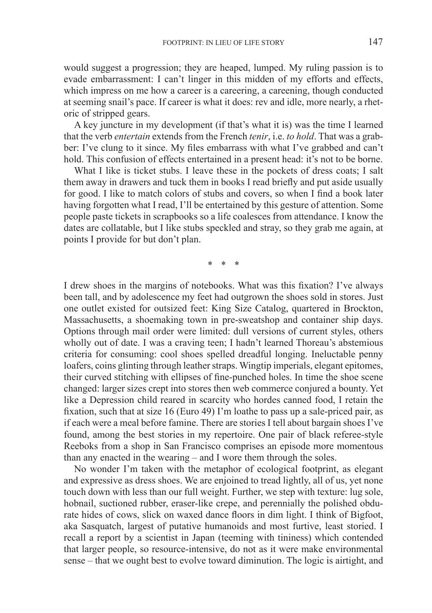would suggest a progression; they are heaped, lumped. My ruling passion is to evade embarrassment: I can't linger in this midden of my efforts and effects, which impress on me how a career is a careering, a careening, though conducted at seeming snail's pace. If career is what it does: rev and idle, more nearly, a rhetoric of stripped gears.

A key juncture in my development (if that's what it is) was the time I learned that the verb *entertain* extends from the French *tenir*, i.e. *to hold*. That was a grabber: I've clung to it since. My files embarrass with what I've grabbed and can't hold. This confusion of effects entertained in a present head: it's not to be borne.

What I like is ticket stubs. I leave these in the pockets of dress coats; I salt them away in drawers and tuck them in books I read briefly and put aside usually for good. I like to match colors of stubs and covers, so when I find a book later having forgotten what I read, I'll be entertained by this gesture of attention. Some people paste tickets in scrapbooks so a life coalesces from attendance. I know the dates are collatable, but I like stubs speckled and stray, so they grab me again, at points I provide for but don't plan.

\* \* \*

I drew shoes in the margins of notebooks. What was this fixation? I've always been tall, and by adolescence my feet had outgrown the shoes sold in stores. Just one outlet existed for outsized feet: King Size Catalog, quartered in Brockton, Massachusetts, a shoemaking town in pre-sweatshop and container ship days. Options through mail order were limited: dull versions of current styles, others wholly out of date. I was a craving teen; I hadn't learned Thoreau's abstemious criteria for consuming: cool shoes spelled dreadful longing. Ineluctable penny loafers, coins glinting through leather straps. Wingtip imperials, elegant epitomes, their curved stitching with ellipses of fine-punched holes. In time the shoe scene changed: larger sizes crept into stores then web commerce conjured a bounty. Yet like a Depression child reared in scarcity who hordes canned food, I retain the fixation, such that at size 16 (Euro 49) I'm loathe to pass up a sale-priced pair, as if each were a meal before famine. There are stories I tell about bargain shoes I've found, among the best stories in my repertoire. One pair of black referee-style Reeboks from a shop in San Francisco comprises an episode more momentous than any enacted in the wearing – and I wore them through the soles.

No wonder I'm taken with the metaphor of ecological footprint, as elegant and expressive as dress shoes. We are enjoined to tread lightly, all of us, yet none touch down with less than our full weight. Further, we step with texture: lug sole, hobnail, suctioned rubber, eraser-like crepe, and perennially the polished obdurate hides of cows, slick on waxed dance floors in dim light. I think of Bigfoot, aka Sasquatch, largest of putative humanoids and most furtive, least storied. I recall a report by a scientist in Japan (teeming with tininess) which contended that larger people, so resource-intensive, do not as it were make environmental sense – that we ought best to evolve toward diminution. The logic is airtight, and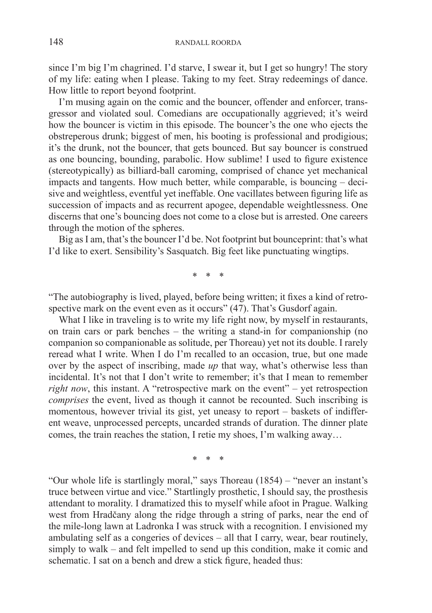since I'm big I'm chagrined. I'd starve, I swear it, but I get so hungry! The story of my life: eating when I please. Taking to my feet. Stray redeemings of dance. How little to report beyond footprint.

I'm musing again on the comic and the bouncer, offender and enforcer, transgressor and violated soul. Comedians are occupationally aggrieved; it's weird how the bouncer is victim in this episode. The bouncer's the one who ejects the obstreperous drunk; biggest of men, his booting is professional and prodigious; it's the drunk, not the bouncer, that gets bounced. But say bouncer is construed as one bouncing, bounding, parabolic. How sublime! I used to figure existence (stereotypically) as billiard-ball caroming, comprised of chance yet mechanical impacts and tangents. How much better, while comparable, is bouncing – decisive and weightless, eventful yet ineffable. One vacillates between figuring life as succession of impacts and as recurrent apogee, dependable weightlessness. One discerns that one's bouncing does not come to a close but is arrested. One careers through the motion of the spheres.

Big as I am, that's the bouncer I'd be. Not footprint but bounceprint: that's what I'd like to exert. Sensibility's Sasquatch. Big feet like punctuating wingtips.

\* \* \*

"The autobiography is lived, played, before being written; it fixes a kind of retrospective mark on the event even as it occurs" (47). That's Gusdorf again.

What I like in traveling is to write my life right now, by myself in restaurants, on train cars or park benches – the writing a stand-in for companionship (no companion so companionable as solitude, per Thoreau) yet not its double. I rarely reread what I write. When I do I'm recalled to an occasion, true, but one made over by the aspect of inscribing, made *up* that way, what's otherwise less than incidental. It's not that I don't write to remember; it's that I mean to remember *right now*, this instant. A "retrospective mark on the event" – yet retrospection *comprises* the event, lived as though it cannot be recounted. Such inscribing is momentous, however trivial its gist, yet uneasy to report – baskets of indifferent weave, unprocessed percepts, uncarded strands of duration. The dinner plate comes, the train reaches the station, I retie my shoes, I'm walking away…

\* \* \*

"Our whole life is startlingly moral," says Thoreau (1854) – "never an instant's truce between virtue and vice." Startlingly prosthetic, I should say, the prosthesis attendant to morality. I dramatized this to myself while afoot in Prague. Walking west from Hradčany along the ridge through a string of parks, near the end of the mile-long lawn at Ladronka I was struck with a recognition. I envisioned my ambulating self as a congeries of devices – all that I carry, wear, bear routinely, simply to walk – and felt impelled to send up this condition, make it comic and schematic. I sat on a bench and drew a stick figure, headed thus: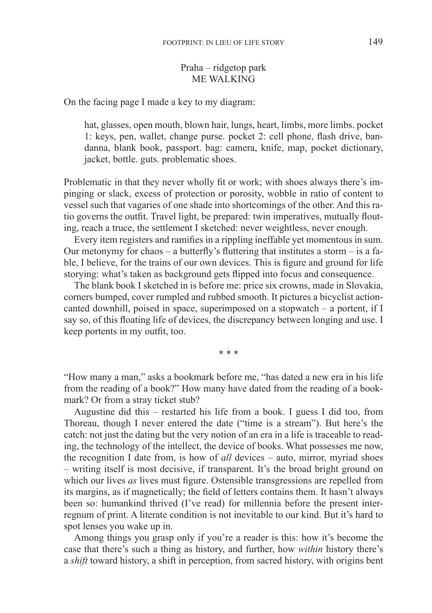## Praha – ridgetop park ME WALKING

On the facing page I made a key to my diagram:

hat, glasses, open mouth, blown hair, lungs, heart, limbs, more limbs. pocket 1: keys, pen, wallet, change purse. pocket 2: cell phone, flash drive, bandanna, blank book, passport. bag: camera, knife, map, pocket dictionary, jacket, bottle. guts. problematic shoes.

Problematic in that they never wholly fit or work; with shoes always there's impinging or slack, excess of protection or porosity, wobble in ratio of content to vessel such that vagaries of one shade into shortcomings of the other. And this ratio governs the outfit. Travel light, be prepared: twin imperatives, mutually flouting, reach a truce, the settlement I sketched: never weightless, never enough.

Every item registers and ramifies in a rippling ineffable yet momentous in sum. Our metonymy for chaos – a butterfly's fluttering that institutes a storm – is a fable, I believe, for the trains of our own devices. This is figure and ground for life storying: what's taken as background gets flipped into focus and consequence.

The blank book I sketched in is before me: price six crowns, made in Slovakia, corners bumped, cover rumpled and rubbed smooth. It pictures a bicyclist actioncanted downhill, poised in space, superimposed on a stopwatch – a portent, if I say so, of this floating life of devices, the discrepancy between longing and use. I keep portents in my outfit, too.

\* \* \*

"How many a man," asks a bookmark before me, "has dated a new era in his life from the reading of a book?" How many have dated from the reading of a bookmark? Or from a stray ticket stub?

Augustine did this – restarted his life from a book. I guess I did too, from Thoreau, though I never entered the date ("time is a stream"). But here's the catch: not just the dating but the very notion of an era in a life is traceable to reading, the technology of the intellect, the device of books. What possesses me now, the recognition I date from, is how of *all* devices – auto, mirror, myriad shoes – writing itself is most decisive, if transparent. It's the broad bright ground on which our lives *as* lives must figure. Ostensible transgressions are repelled from its margins, as if magnetically; the field of letters contains them. It hasn't always been so: humankind thrived (I've read) for millennia before the present interregnum of print. A literate condition is not inevitable to our kind. But it's hard to spot lenses you wake up in.

Among things you grasp only if you're a reader is this: how it's become the case that there's such a thing as history, and further, how *within* history there's a *shift* toward history, a shift in perception, from sacred history, with origins bent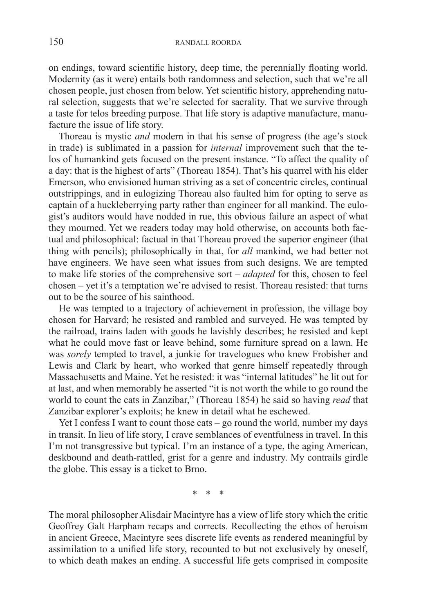on endings, toward scientific history, deep time, the perennially floating world. Modernity (as it were) entails both randomness and selection, such that we're all chosen people, just chosen from below. Yet scientific history, apprehending natural selection, suggests that we're selected for sacrality. That we survive through a taste for telos breeding purpose. That life story is adaptive manufacture, manufacture the issue of life story.

Thoreau is mystic *and* modern in that his sense of progress (the age's stock in trade) is sublimated in a passion for *internal* improvement such that the telos of humankind gets focused on the present instance. "To affect the quality of a day: that is the highest of arts" (Thoreau 1854). That's his quarrel with his elder Emerson, who envisioned human striving as a set of concentric circles, continual outstrippings, and in eulogizing Thoreau also faulted him for opting to serve as captain of a huckleberrying party rather than engineer for all mankind. The eulogist's auditors would have nodded in rue, this obvious failure an aspect of what they mourned. Yet we readers today may hold otherwise, on accounts both factual and philosophical: factual in that Thoreau proved the superior engineer (that thing with pencils); philosophically in that, for *all* mankind, we had better not have engineers. We have seen what issues from such designs. We are tempted to make life stories of the comprehensive sort – *adapted* for this, chosen to feel chosen – yet it's a temptation we're advised to resist. Thoreau resisted: that turns out to be the source of his sainthood.

He was tempted to a trajectory of achievement in profession, the village boy chosen for Harvard; he resisted and rambled and surveyed. He was tempted by the railroad, trains laden with goods he lavishly describes; he resisted and kept what he could move fast or leave behind, some furniture spread on a lawn. He was *sorely* tempted to travel, a junkie for travelogues who knew Frobisher and Lewis and Clark by heart, who worked that genre himself repeatedly through Massachusetts and Maine. Yet he resisted: it was "internal latitudes" he lit out for at last, and when memorably he asserted "it is not worth the while to go round the world to count the cats in Zanzibar," (Thoreau 1854) he said so having *read* that Zanzibar explorer's exploits; he knew in detail what he eschewed.

Yet I confess I want to count those cats – go round the world, number my days in transit. In lieu of life story, I crave semblances of eventfulness in travel. In this I'm not transgressive but typical. I'm an instance of a type, the aging American, deskbound and death-rattled, grist for a genre and industry. My contrails girdle the globe. This essay is a ticket to Brno.

\* \* \*

The moral philosopher Alisdair Macintyre has a view of life story which the critic Geoffrey Galt Harpham recaps and corrects. Recollecting the ethos of heroism in ancient Greece, Macintyre sees discrete life events as rendered meaningful by assimilation to a unified life story, recounted to but not exclusively by oneself, to which death makes an ending. A successful life gets comprised in composite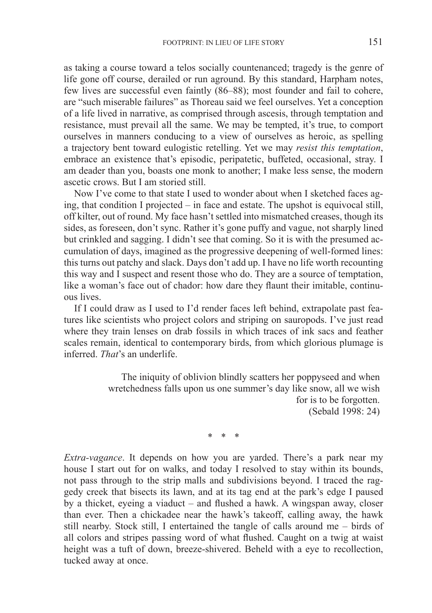as taking a course toward a telos socially countenanced; tragedy is the genre of life gone off course, derailed or run aground. By this standard, Harpham notes, few lives are successful even faintly (86–88); most founder and fail to cohere, are "such miserable failures" as Thoreau said we feel ourselves. Yet a conception of a life lived in narrative, as comprised through ascesis, through temptation and resistance, must prevail all the same. We may be tempted, it's true, to comport ourselves in manners conducing to a view of ourselves as heroic, as spelling a trajectory bent toward eulogistic retelling. Yet we may *resist this temptation*, embrace an existence that's episodic, peripatetic, buffeted, occasional, stray. I am deader than you, boasts one monk to another; I make less sense, the modern ascetic crows. But I am storied still.

Now I've come to that state I used to wonder about when I sketched faces aging, that condition I projected – in face and estate. The upshot is equivocal still, off kilter, out of round. My face hasn't settled into mismatched creases, though its sides, as foreseen, don't sync. Rather it's gone puffy and vague, not sharply lined but crinkled and sagging. I didn't see that coming. So it is with the presumed accumulation of days, imagined as the progressive deepening of well-formed lines: this turns out patchy and slack. Days don't add up. I have no life worth recounting this way and I suspect and resent those who do. They are a source of temptation, like a woman's face out of chador: how dare they flaunt their imitable, continuous lives.

If I could draw as I used to I'd render faces left behind, extrapolate past features like scientists who project colors and striping on sauropods. I've just read where they train lenses on drab fossils in which traces of ink sacs and feather scales remain, identical to contemporary birds, from which glorious plumage is inferred. *That*'s an underlife.

> The iniquity of oblivion blindly scatters her poppyseed and when wretchedness falls upon us one summer's day like snow, all we wish for is to be forgotten. (Sebald 1998: 24)

> > \* \* \*

*Extra-vagance*. It depends on how you are yarded. There's a park near my house I start out for on walks, and today I resolved to stay within its bounds, not pass through to the strip malls and subdivisions beyond. I traced the raggedy creek that bisects its lawn, and at its tag end at the park's edge I paused by a thicket, eyeing a viaduct – and flushed a hawk. A wingspan away, closer than ever. Then a chickadee near the hawk's takeoff, calling away, the hawk still nearby. Stock still, I entertained the tangle of calls around me – birds of all colors and stripes passing word of what flushed. Caught on a twig at waist height was a tuft of down, breeze-shivered. Beheld with a eye to recollection, tucked away at once.